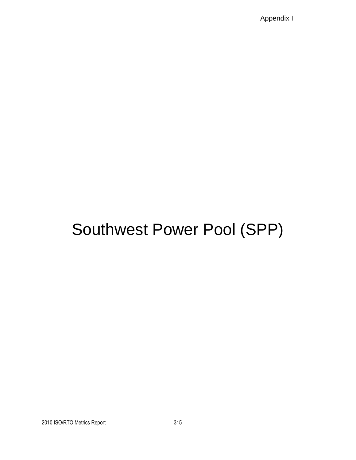Appendix I

## Southwest Power Pool (SPP)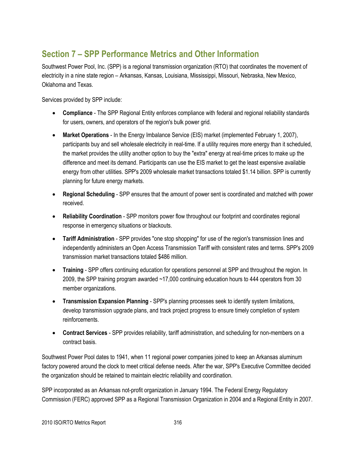## **Section 7 – SPP Performance Metrics and Other Information**

Southwest Power Pool, Inc. (SPP) is a regional transmission organization (RTO) that coordinates the movement of electricity in a nine state region – Arkansas, Kansas, Louisiana, Mississippi, Missouri, Nebraska, New Mexico, Oklahoma and Texas.

Services provided by SPP include:

- **Compliance** The SPP Regional Entity enforces compliance with federal and regional reliability standards for users, owners, and operators of the region's bulk power grid.
- **Market Operations** In the Energy Imbalance Service (EIS) market (implemented February 1, 2007), participants buy and sell wholesale electricity in real-time. If a utility requires more energy than it scheduled, the market provides the utility another option to buy the "extra" energy at real-time prices to make up the difference and meet its demand. Participants can use the EIS market to get the least expensive available energy from other utilities. SPP's 2009 wholesale market transactions totaled \$1.14 billion. SPP is currently planning for future energy markets.
- **Regional Scheduling** SPP ensures that the amount of power sent is coordinated and matched with power received.
- **Reliability Coordination** SPP monitors power flow throughout our footprint and coordinates regional response in emergency situations or blackouts.
- **Tariff Administration** SPP provides "one stop shopping" for use of the region's transmission lines and independently administers an Open Access Transmission Tariff with consistent rates and terms. SPP's 2009 transmission market transactions totaled \$486 million.
- **Training**  SPP offers continuing education for operations personnel at SPP and throughout the region. In 2009, the SPP training program awarded ~17,000 continuing education hours to 444 operators from 30 member organizations.
- **Transmission Expansion Planning**  SPP's planning processes seek to identify system limitations, develop transmission upgrade plans, and track project progress to ensure timely completion of system reinforcements.
- **Contract Services**  SPP provides reliability, tariff administration, and scheduling for non-members on a contract basis.

Southwest Power Pool dates to 1941, when 11 regional power companies joined to keep an Arkansas aluminum factory powered around the clock to meet critical defense needs. After the war, SPP's Executive Committee decided the organization should be retained to maintain electric reliability and coordination.

SPP incorporated as an Arkansas not-profit organization in January 1994. The Federal Energy Regulatory Commission (FERC) approved SPP as a Regional Transmission Organization in 2004 and a Regional Entity in 2007.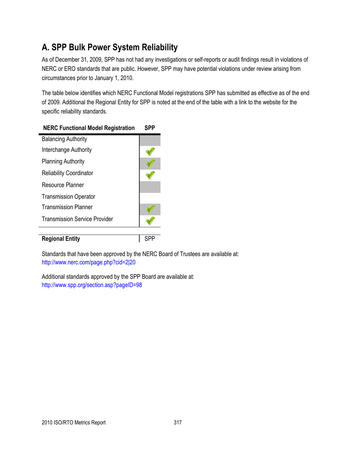## **A. SPP Bulk Power System Reliability**

As of December 31, 2009, SPP has not had any investigations or self-reports or audit findings result in violations of NERC or ERO standards that are public. However, SPP may have potential violations under review arising from circumstances prior to January 1, 2010.

The table below identifies which NERC Functional Model registrations SPP has submitted as effective as of the end of 2009. Additional the Regional Entity for SPP is noted at the end of the table with a link to the website for the specific reliability standards.

| <u>KLIV I alicuollai Model Registration</u> |  |
|---------------------------------------------|--|
| <b>Balancing Authority</b>                  |  |
| Interchange Authority                       |  |
| <b>Planning Authority</b>                   |  |
| <b>Reliability Coordinator</b>              |  |
| Resource Planner                            |  |
| <b>Transmission Operator</b>                |  |
| <b>Transmission Planner</b>                 |  |
| <b>Transmission Service Provider</b>        |  |
|                                             |  |
| <b>Regional Entity</b>                      |  |

#### **NERC Functional Model Registration SPP**

Standards that have been approved by the NERC Board of Trustees are available at: <http://www.nerc.com/page.php?cid=2|20>

Additional standards approved by the SPP Board are available at: <http://www.spp.org/section.asp?pageID=98>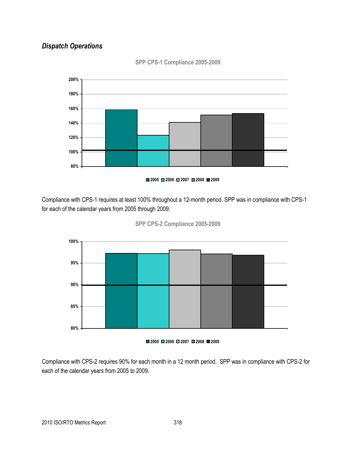## *Dispatch Operations*



**SPP CPS-1 Compliance 2005-2009**

Compliance with CPS-1 requires at least 100% throughout a 12-month period. SPP was in compliance with CPS-1 for each of the calendar years from 2005 through 2009.





**2005 2006 2007 2008 2009**

Compliance with CPS-2 requires 90% for each month in a 12 month period. SPP was in compliance with CPS-2 for each of the calendar years from 2005 to 2009.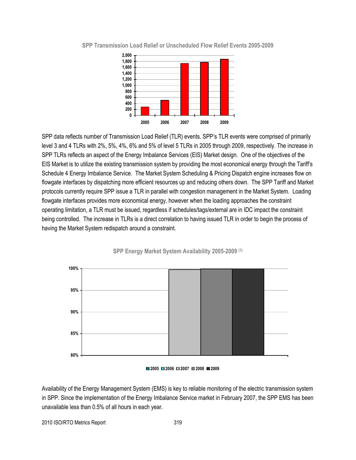

**SPP Transmission Load Relief or Unscheduled Flow Relief Events 2005-2009**

SPP data reflects number of Transmission Load Relief (TLR) events. SPP's TLR events were comprised of primarily level 3 and 4 TLRs with 2%, 5%, 4%, 6% and 5% of level 5 TLRs in 2005 through 2009, respectively. The increase in SPP TLRs reflects an aspect of the Energy Imbalance Services (EIS) Market design. One of the objectives of the EIS Market is to utilize the existing transmission system by providing the most economical energy through the Tariff's Schedule 4 Energy Imbalance Service. The Market System Scheduling & Pricing Dispatch engine increases flow on flowgate interfaces by dispatching more efficient resources up and reducing others down. The SPP Tariff and Market protocols currently require SPP issue a TLR in parallel with congestion management in the Market System. Loading flowgate interfaces provides more economical energy, however when the loading approaches the constraint operating limitation, a TLR must be issued, regardless if schedules/tags/external are in IDC impact the constraint being controlled. The increase in TLRs is a direct correlation to having issued TLR in order to begin the process of having the Market System redispatch around a constraint.





Availability of the Energy Management System (EMS) is key to reliable monitoring of the electric transmission system in SPP. Since the implementation of the Energy Imbalance Service market in February 2007, the SPP EMS has been unavailable less than 0.5% of all hours in each year.

2010 ISO/RTO Metrics Report 319

**<sup>2005</sup> 2006 2007 2008 2009**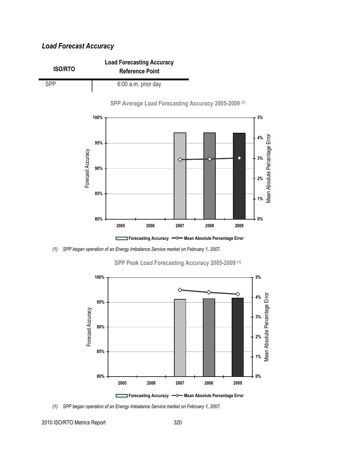## *Load Forecast Accuracy*







*(1) SPP began operation of an Energy Imbalance Service market on February 1, 2007.*



**SPP Peak Load Forecasting Accuracy 2005-2009 (1)**

*(1) SPP began operation of an Energy Imbalance Service market on February 1, 2007.*

2010 ISO/RTO Metrics Report 320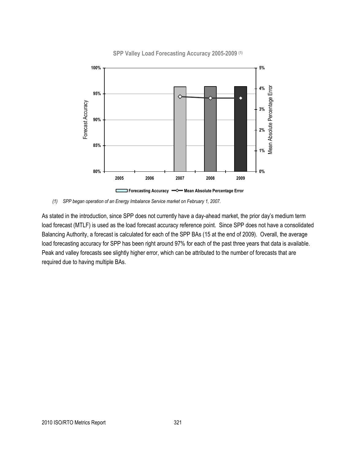

#### **SPP Valley Load Forecasting Accuracy 2005-2009 (1)**

*(1) SPP began operation of an Energy Imbalance Service market on February 1, 2007.*

As stated in the introduction, since SPP does not currently have a day-ahead market, the prior day's medium term load forecast (MTLF) is used as the load forecast accuracy reference point. Since SPP does not have a consolidated Balancing Authority, a forecast is calculated for each of the SPP BAs (15 at the end of 2009). Overall, the average load forecasting accuracy for SPP has been right around 97% for each of the past three years that data is available. Peak and valley forecasts see slightly higher error, which can be attributed to the number of forecasts that are required due to having multiple BAs.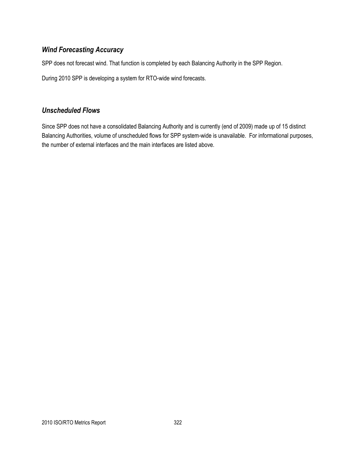## *Wind Forecasting Accuracy*

SPP does not forecast wind. That function is completed by each Balancing Authority in the SPP Region.

During 2010 SPP is developing a system for RTO-wide wind forecasts.

## *Unscheduled Flows*

Since SPP does not have a consolidated Balancing Authority and is currently (end of 2009) made up of 15 distinct Balancing Authorities, volume of unscheduled flows for SPP system-wide is unavailable. For informational purposes, the number of external interfaces and the main interfaces are listed above.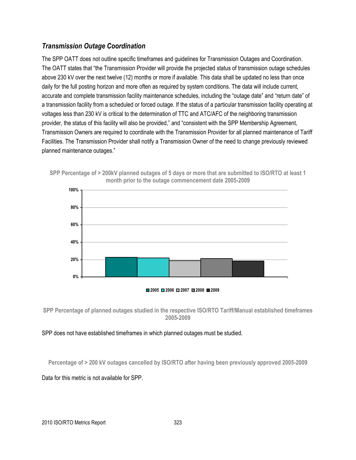#### *Transmission Outage Coordination*

The SPP OATT does not outline specific timeframes and guidelines for Transmission Outages and Coordination. The OATT states that "the Transmission Provider will provide the projected status of transmission outage schedules above 230 kV over the next twelve (12) months or more if available. This data shall be updated no less than once daily for the full posting horizon and more often as required by system conditions. The data will include current, accurate and complete transmission facility maintenance schedules, including the "outage date" and "return date" of a transmission facility from a scheduled or forced outage. If the status of a particular transmission facility operating at voltages less than 230 kV is critical to the determination of TTC and ATC/AFC of the neighboring transmission provider, the status of this facility will also be provided," and "consistent with the SPP Membership Agreement, Transmission Owners are required to coordinate with the Transmission Provider for all planned maintenance of Tariff Facilities. The Transmission Provider shall notify a Transmission Owner of the need to change previously reviewed planned maintenance outages."



**SPP Percentage of > 200kV planned outages of 5 days or more that are submitted to ISO/RTO at least 1 month prior to the outage commencement date 2005-2009**

#### **2005 2006 2007 2008 2009**

**SPP Percentage of planned outages studied in the respective ISO/RTO Tariff/Manual established timeframes 2005-2009**

#### SPP does not have established timeframes in which planned outages must be studied.

**Percentage of > 200 kV outages cancelled by ISO/RTO after having been previously approved 2005-2009**

Data for this metric is not available for SPP.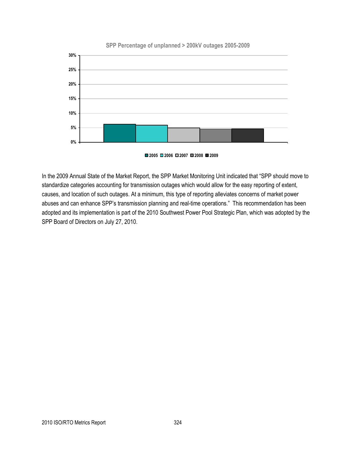

#### **SPP Percentage of unplanned > 200kV outages 2005-2009**

**2005 2006 2007 2008 2009**

In the 2009 Annual State of the Market Report, the SPP Market Monitoring Unit indicated that "SPP should move to standardize categories accounting for transmission outages which would allow for the easy reporting of extent, causes, and location of such outages. At a minimum, this type of reporting alleviates concerns of market power abuses and can enhance SPP's transmission planning and real-time operations." This recommendation has been adopted and its implementation is part of the 2010 Southwest Power Pool Strategic Plan, which was adopted by the SPP Board of Directors on July 27, 2010.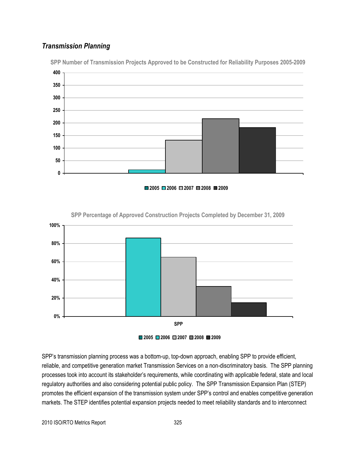## *Transmission Planning*



**SPP Number of Transmission Projects Approved to be Constructed for Reliability Purposes 2005-2009**





**SPP Percentage of Approved Construction Projects Completed by December 31, 2009**



SPP's transmission planning process was a bottom-up, top-down approach, enabling SPP to provide efficient, reliable, and competitive generation market Transmission Services on a non-discriminatory basis. The SPP planning processes took into account its stakeholder's requirements, while coordinating with applicable federal, state and local regulatory authorities and also considering potential public policy. The SPP Transmission Expansion Plan (STEP) promotes the efficient expansion of the transmission system under SPP's control and enables competitive generation markets. The STEP identifies potential expansion projects needed to meet reliability standards and to interconnect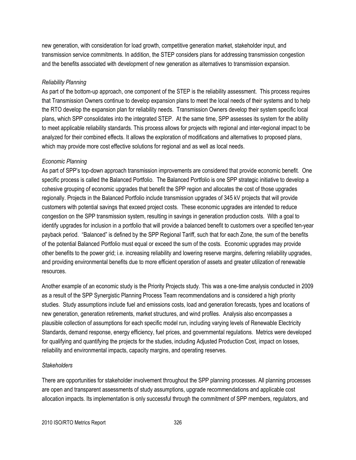new generation, with consideration for load growth, competitive generation market, stakeholder input, and transmission service commitments. In addition, the STEP considers plans for addressing transmission congestion and the benefits associated with development of new generation as alternatives to transmission expansion.

#### *Reliability Planning*

As part of the bottom-up approach, one component of the STEP is the reliability assessment. This process requires that Transmission Owners continue to develop expansion plans to meet the local needs of their systems and to help the RTO develop the expansion plan for reliability needs. Transmission Owners develop their system specific local plans, which SPP consolidates into the integrated STEP. At the same time, SPP assesses its system for the ability to meet applicable reliability standards. This process allows for projects with regional and inter-regional impact to be analyzed for their combined effects. It allows the exploration of modifications and alternatives to proposed plans, which may provide more cost effective solutions for regional and as well as local needs.

#### *Economic Planning*

As part of SPP's top-down approach transmission improvements are considered that provide economic benefit. One specific process is called the Balanced Portfolio. The Balanced Portfolio is one SPP strategic initiative to develop a cohesive grouping of economic upgrades that benefit the SPP region and allocates the cost of those upgrades regionally. Projects in the Balanced Portfolio include transmission upgrades of 345 kV projects that will provide customers with potential savings that exceed project costs. These economic upgrades are intended to reduce congestion on the SPP transmission system, resulting in savings in generation production costs. With a goal to identify upgrades for inclusion in a portfolio that will provide a balanced benefit to customers over a specified ten-year payback period. "Balanced" is defined by the SPP Regional Tariff, such that for each Zone, the sum of the benefits of the potential Balanced Portfolio must equal or exceed the sum of the costs. Economic upgrades may provide other benefits to the power grid; i.e. increasing reliability and lowering reserve margins, deferring reliability upgrades, and providing environmental benefits due to more efficient operation of assets and greater utilization of renewable resources.

Another example of an economic study is the Priority Projects study. This was a one-time analysis conducted in 2009 as a result of the SPP Synergistic Planning Process Team recommendations and is considered a high priority studies. Study assumptions include fuel and emissions costs, load and generation forecasts, types and locations of new generation, generation retirements, market structures, and wind profiles. Analysis also encompasses a plausible collection of assumptions for each specific model run, including varying levels of Renewable Electricity Standards, demand response, energy efficiency, fuel prices, and governmental regulations. Metrics were developed for qualifying and quantifying the projects for the studies, including Adjusted Production Cost, impact on losses, reliability and environmental impacts, capacity margins, and operating reserves.

#### *Stakeholders*

There are opportunities for stakeholder involvement throughout the SPP planning processes. All planning processes are open and transparent assessments of study assumptions, upgrade recommendations and applicable cost allocation impacts. Its implementation is only successful through the commitment of SPP members, regulators, and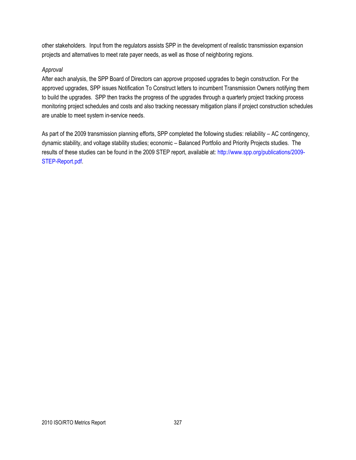other stakeholders. Input from the regulators assists SPP in the development of realistic transmission expansion projects and alternatives to meet rate payer needs, as well as those of neighboring regions.

#### *Approval*

After each analysis, the SPP Board of Directors can approve proposed upgrades to begin construction. For the approved upgrades, SPP issues Notification To Construct letters to incumbent Transmission Owners notifying them to build the upgrades. SPP then tracks the progress of the upgrades through a quarterly project tracking process monitoring project schedules and costs and also tracking necessary mitigation plans if project construction schedules are unable to meet system in-service needs.

As part of the 2009 transmission planning efforts, SPP completed the following studies: reliability – AC contingency, dynamic stability, and voltage stability studies; economic – Balanced Portfolio and Priority Projects studies. The results of these studies can be found in the 2009 STEP report, available at: [http://www.spp.org/publications/2009-](http://www.spp.org/publications/2009-STEP-Report.pdf) [STEP-Report.pdf.](http://www.spp.org/publications/2009-STEP-Report.pdf)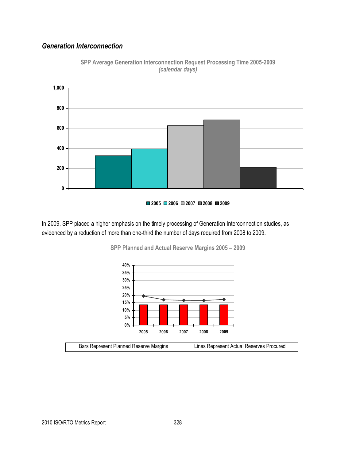#### *Generation Interconnection*



**SPP Average Generation Interconnection Request Processing Time 2005-2009** *(calendar days)*



In 2009, SPP placed a higher emphasis on the timely processing of Generation Interconnection studies, as evidenced by a reduction of more than one-third the number of days required from 2008 to 2009.



**SPP Planned and Actual Reserve Margins 2005 – 2009**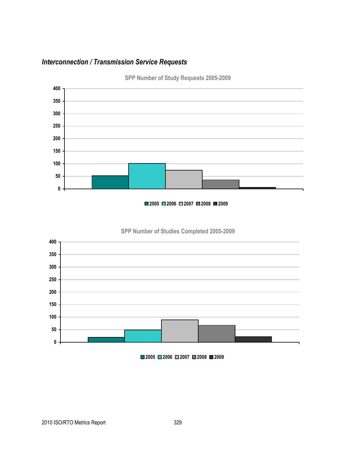## *Interconnection / Transmission Service Requests*



**SPP Number of Study Requests 2005-2009**

#### **2006 2007 2008 2009**





**2006 2007 2008 2009**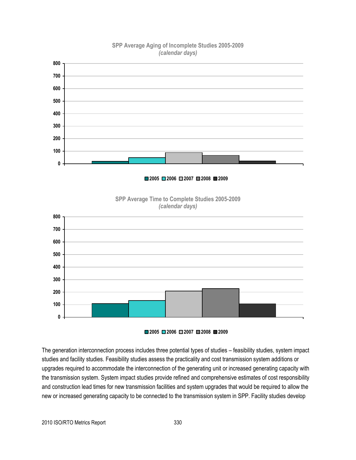

#### **SPP Average Aging of Incomplete Studies 2005-2009** *(calendar days)*

The generation interconnection process includes three potential types of studies – feasibility studies, system impact studies and facility studies. Feasibility studies assess the practicality and cost transmission system additions or upgrades required to accommodate the interconnection of the generating unit or increased generating capacity with the transmission system. System impact studies provide refined and comprehensive estimates of cost responsibility and construction lead times for new transmission facilities and system upgrades that would be required to allow the new or increased generating capacity to be connected to the transmission system in SPP. Facility studies develop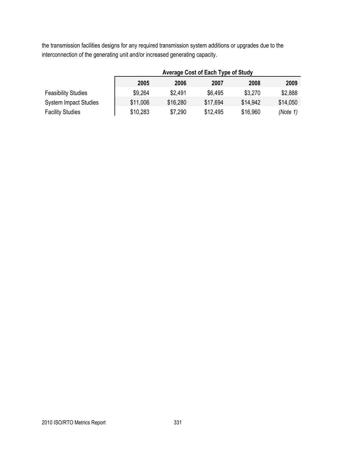the transmission facilities designs for any required transmission system additions or upgrades due to the interconnection of the generating unit and/or increased generating capacity.

|                              | Average Cost of Each Type of Study |          |          |          |          |
|------------------------------|------------------------------------|----------|----------|----------|----------|
|                              | 2005                               | 2006     | 2007     | 2008     | 2009     |
| <b>Feasibility Studies</b>   | \$9,264                            | \$2.491  | \$6,495  | \$3,270  | \$2,888  |
| <b>System Impact Studies</b> | \$11,006                           | \$16,280 | \$17,694 | \$14,942 | \$14,050 |
| <b>Facility Studies</b>      | \$10,283                           | \$7,290  | \$12,495 | \$16,960 | (Note 1) |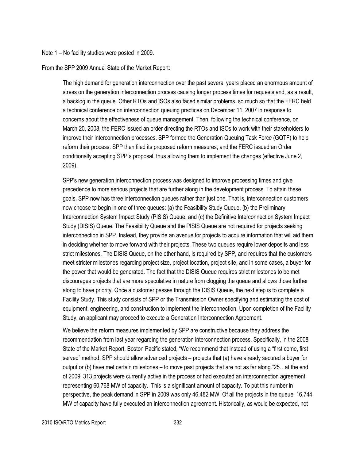#### Note 1 – No facility studies were posted in 2009.

From the SPP 2009 Annual State of the Market Report:

The high demand for generation interconnection over the past several years placed an enormous amount of stress on the generation interconnection process causing longer process times for requests and, as a result, a backlog in the queue. Other RTOs and ISOs also faced similar problems, so much so that the FERC held a technical conference on interconnection queuing practices on December 11, 2007 in response to concerns about the effectiveness of queue management. Then, following the technical conference, on March 20, 2008, the FERC issued an order directing the RTOs and ISOs to work with their stakeholders to improve their interconnection processes. SPP formed the Generation Queuing Task Force (GQTF) to help reform their process. SPP then filed its proposed reform measures, and the FERC issued an Order conditionally accepting SPP"s proposal, thus allowing them to implement the changes (effective June 2, 2009).

SPP's new generation interconnection process was designed to improve processing times and give precedence to more serious projects that are further along in the development process. To attain these goals, SPP now has three interconnection queues rather than just one. That is, interconnection customers now choose to begin in one of three queues: (a) the Feasibility Study Queue, (b) the Preliminary Interconnection System Impact Study (PISIS) Queue, and (c) the Definitive Interconnection System Impact Study (DISIS) Queue. The Feasibility Queue and the PISIS Queue are not required for projects seeking interconnection in SPP. Instead, they provide an avenue for projects to acquire information that will aid them in deciding whether to move forward with their projects. These two queues require lower deposits and less strict milestones. The DISIS Queue, on the other hand, is required by SPP, and requires that the customers meet stricter milestones regarding project size, project location, project site, and in some cases, a buyer for the power that would be generated. The fact that the DISIS Queue requires strict milestones to be met discourages projects that are more speculative in nature from clogging the queue and allows those further along to have priority. Once a customer passes through the DISIS Queue, the next step is to complete a Facility Study. This study consists of SPP or the Transmission Owner specifying and estimating the cost of equipment, engineering, and construction to implement the interconnection. Upon completion of the Facility Study, an applicant may proceed to execute a Generation Interconnection Agreement.

We believe the reform measures implemented by SPP are constructive because they address the recommendation from last year regarding the generation interconnection process. Specifically, in the 2008 State of the Market Report, Boston Pacific stated, "We recommend that instead of using a "first come, first served" method, SPP should allow advanced projects – projects that (a) have already secured a buyer for output or (b) have met certain milestones – to move past projects that are not as far along."25...at the end of 2009, 313 projects were currently active in the process or had executed an interconnection agreement, representing 60,768 MW of capacity. This is a significant amount of capacity. To put this number in perspective, the peak demand in SPP in 2009 was only 46,482 MW. Of all the projects in the queue, 16,744 MW of capacity have fully executed an interconnection agreement. Historically, as would be expected, not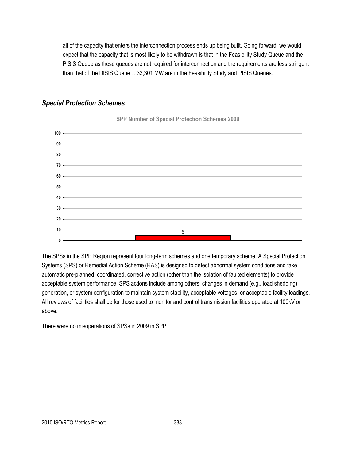all of the capacity that enters the interconnection process ends up being built. Going forward, we would expect that the capacity that is most likely to be withdrawn is that in the Feasibility Study Queue and the PISIS Queue as these queues are not required for interconnection and the requirements are less stringent than that of the DISIS Queue… 33,301 MW are in the Feasibility Study and PISIS Queues.

#### *Special Protection Schemes*



**SPP Number of Special Protection Schemes 2009**

The SPSs in the SPP Region represent four long-term schemes and one temporary scheme. A Special Protection Systems (SPS) or Remedial Action Scheme (RAS) is designed to detect abnormal system conditions and take automatic pre-planned, coordinated, corrective action (other than the isolation of faulted elements) to provide acceptable system performance. SPS actions include among others, changes in demand (e.g., load shedding), generation, or system configuration to maintain system stability, acceptable voltages, or acceptable facility loadings. All reviews of facilities shall be for those used to monitor and control transmission facilities operated at 100kV or above.

There were no misoperations of SPSs in 2009 in SPP.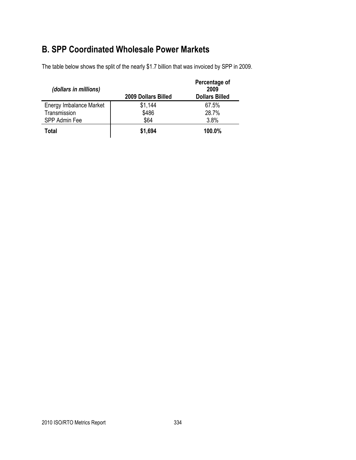## **B. SPP Coordinated Wholesale Power Markets**

The table below shows the split of the nearly \$1.7 billion that was invoiced by SPP in 2009.

| (dollars in millions)   | 2009 Dollars Billed | Percentage of<br>2009<br><b>Dollars Billed</b> |
|-------------------------|---------------------|------------------------------------------------|
| Energy Imbalance Market | \$1,144             | 67.5%                                          |
| Transmission            | \$486               | 28.7%                                          |
| SPP Admin Fee           | \$64                | 3.8%                                           |
| Total                   | \$1,694             | 100.0%                                         |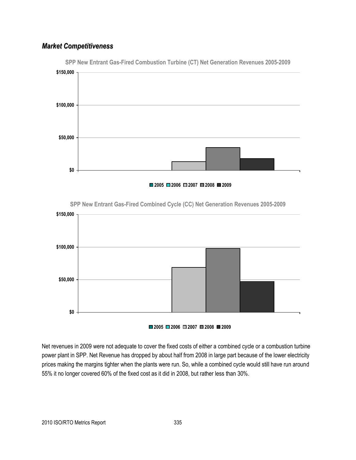## *Market Competitiveness*



**SPP New Entrant Gas-Fired Combustion Turbine (CT) Net Generation Revenues 2005-2009**





**SPP New Entrant Gas-Fired Combined Cycle (CC) Net Generation Revenues 2005-2009**



Net revenues in 2009 were not adequate to cover the fixed costs of either a combined cycle or a combustion turbine power plant in SPP. Net Revenue has dropped by about half from 2008 in large part because of the lower electricity prices making the margins tighter when the plants were run. So, while a combined cycle would still have run around 55% it no longer covered 60% of the fixed cost as it did in 2008, but rather less than 30%.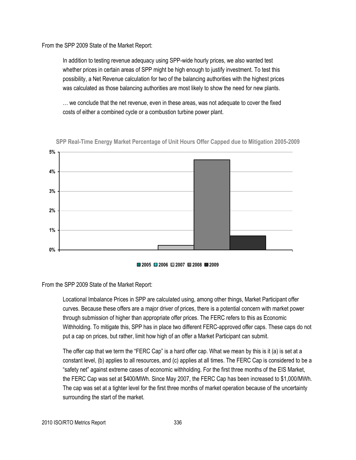From the SPP 2009 State of the Market Report:

In addition to testing revenue adequacy using SPP-wide hourly prices, we also wanted test whether prices in certain areas of SPP might be high enough to justify investment. To test this possibility, a Net Revenue calculation for two of the balancing authorities with the highest prices was calculated as those balancing authorities are most likely to show the need for new plants.

… we conclude that the net revenue, even in these areas, was not adequate to cover the fixed costs of either a combined cycle or a combustion turbine power plant.



**SPP Real-Time Energy Market Percentage of Unit Hours Offer Capped due to Mitigation 2005-2009**



From the SPP 2009 State of the Market Report:

Locational Imbalance Prices in SPP are calculated using, among other things, Market Participant offer curves. Because these offers are a major driver of prices, there is a potential concern with market power through submission of higher than appropriate offer prices. The FERC refers to this as Economic Withholding. To mitigate this, SPP has in place two different FERC-approved offer caps. These caps do not put a cap on prices, but rather, limit how high of an offer a Market Participant can submit.

The offer cap that we term the "FERC Cap" is a hard offer cap. What we mean by this is it (a) is set at a constant level, (b) applies to all resources, and (c) applies at all times. The FERC Cap is considered to be a ―safety net‖ against extreme cases of economic withholding. For the first three months of the EIS Market, the FERC Cap was set at \$400/MWh. Since May 2007, the FERC Cap has been increased to \$1,000/MWh. The cap was set at a tighter level for the first three months of market operation because of the uncertainty surrounding the start of the market.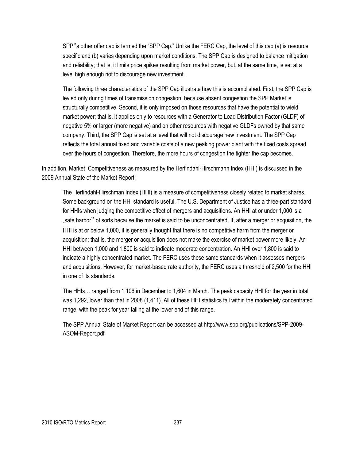SPP"s other offer cap is termed the "SPP Cap." Unlike the FERC Cap, the level of this cap (a) is resource specific and (b) varies depending upon market conditions. The SPP Cap is designed to balance mitigation and reliability; that is, it limits price spikes resulting from market power, but, at the same time, is set at a level high enough not to discourage new investment.

The following three characteristics of the SPP Cap illustrate how this is accomplished. First, the SPP Cap is levied only during times of transmission congestion, because absent congestion the SPP Market is structurally competitive. Second, it is only imposed on those resources that have the potential to wield market power; that is, it applies only to resources with a Generator to Load Distribution Factor (GLDF) of negative 5% or larger (more negative) and on other resources with negative GLDFs owned by that same company. Third, the SPP Cap is set at a level that will not discourage new investment. The SPP Cap reflects the total annual fixed and variable costs of a new peaking power plant with the fixed costs spread over the hours of congestion. Therefore, the more hours of congestion the tighter the cap becomes.

In addition, Market Competitiveness as measured by the Herfindahl-Hirschmann Index (HHI) is discussed in the 2009 Annual State of the Market Report:

The Herfindahl-Hirschman Index (HHI) is a measure of competitiveness closely related to market shares. Some background on the HHI standard is useful. The U.S. Department of Justice has a three-part standard for HHIs when judging the competitive effect of mergers and acquisitions. An HHI at or under 1,000 is a "safe harbor" of sorts because the market is said to be unconcentrated. If, after a merger or acquisition, the HHI is at or below 1,000, it is generally thought that there is no competitive harm from the merger or acquisition; that is, the merger or acquisition does not make the exercise of market power more likely. An HHI between 1,000 and 1,800 is said to indicate moderate concentration. An HHI over 1,800 is said to indicate a highly concentrated market. The FERC uses these same standards when it assesses mergers and acquisitions. However, for market-based rate authority, the FERC uses a threshold of 2,500 for the HHI in one of its standards.

The HHIs… ranged from 1,106 in December to 1,604 in March. The peak capacity HHI for the year in total was 1,292, lower than that in 2008 (1,411). All of these HHI statistics fall within the moderately concentrated range, with the peak for year falling at the lower end of this range.

The SPP Annual State of Market Report can be accessed at http://www.spp.org/publications/SPP-2009- ASOM-Report.pdf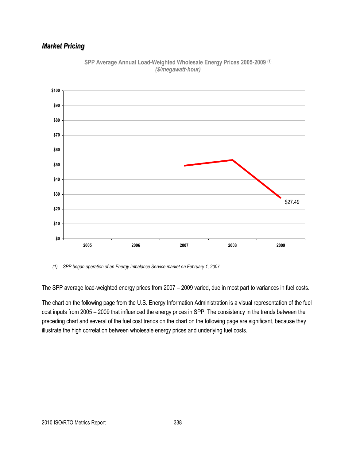## *Market Pricing*



**SPP Average Annual Load-Weighted Wholesale Energy Prices 2005-2009 (1)** *(\$/megawatt-hour)*

The SPP average load-weighted energy prices from 2007 – 2009 varied, due in most part to variances in fuel costs.

The chart on the following page from the U.S. Energy Information Administration is a visual representation of the fuel cost inputs from 2005 – 2009 that influenced the energy prices in SPP. The consistency in the trends between the preceding chart and several of the fuel cost trends on the chart on the following page are significant, because they illustrate the high correlation between wholesale energy prices and underlying fuel costs.

*<sup>(1)</sup> SPP began operation of an Energy Imbalance Service market on February 1, 2007.*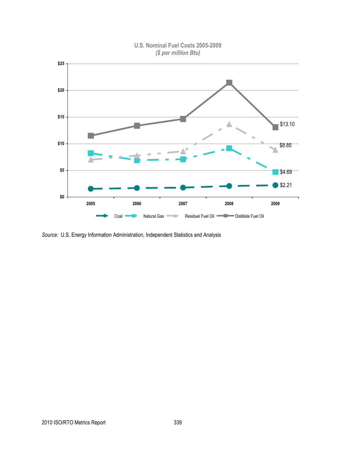

**U.S. Nominal Fuel Costs 2005-2009** *(\$ per million Btu)*

*Source:* U.S. Energy Information Administration, Independent Statistics and Analysis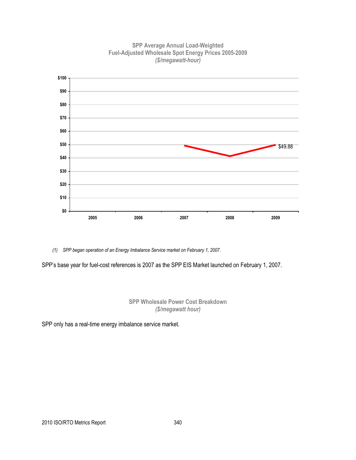

**SPP Average Annual Load-Weighted Fuel-Adjusted Wholesale Spot Energy Prices 2005-2009** *(\$/megawatt-hour)*

*(1) SPP began operation of an Energy Imbalance Service market on February 1, 2007.*

SPP's base year for fuel-cost references is 2007 as the SPP EIS Market launched on February 1, 2007.

**SPP Wholesale Power Cost Breakdown** *(\$/megawatt hour)*

SPP only has a real-time energy imbalance service market.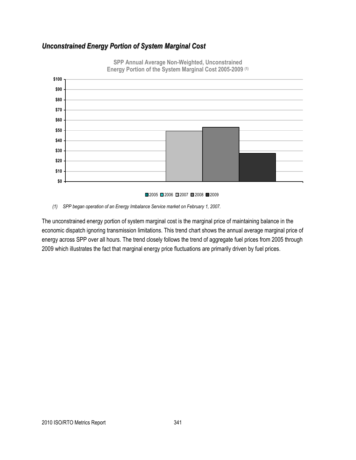## *Unconstrained Energy Portion of System Marginal Cost*



**SPP Annual Average Non-Weighted, Unconstrained Energy Portion of the System Marginal Cost 2005-2009 (1)**

*(1) SPP began operation of an Energy Imbalance Service market on February 1, 2007.*

The unconstrained energy portion of system marginal cost is the marginal price of maintaining balance in the economic dispatch ignoring transmission limitations. This trend chart shows the annual average marginal price of energy across SPP over all hours. The trend closely follows the trend of aggregate fuel prices from 2005 through 2009 which illustrates the fact that marginal energy price fluctuations are primarily driven by fuel prices.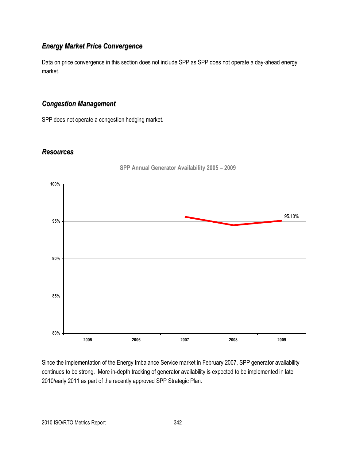## *Energy Market Price Convergence*

Data on price convergence in this section does not include SPP as SPP does not operate a day-ahead energy market.

#### *Congestion Management*

SPP does not operate a congestion hedging market.

#### *Resources*



**SPP Annual Generator Availability 2005 – 2009**

Since the implementation of the Energy Imbalance Service market in February 2007, SPP generator availability continues to be strong. More in-depth tracking of generator availability is expected to be implemented in late 2010/early 2011 as part of the recently approved SPP Strategic Plan.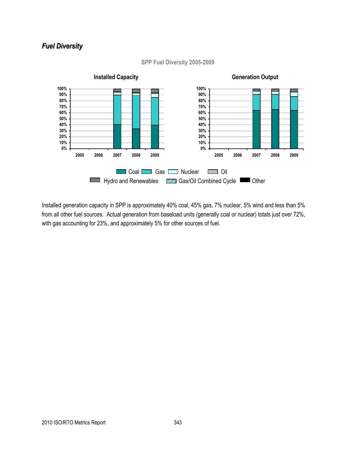## *Fuel Diversity*



#### **SPP Fuel Diversity 2005-2009**

Installed generation capacity in SPP is approximately 40% coal, 45% gas, 7% nuclear, 5% wind and less than 5% from all other fuel sources. Actual generation from baseload units (generally coal or nuclear) totals just over 72%, with gas accounting for 23%, and approximately 5% for other sources of fuel.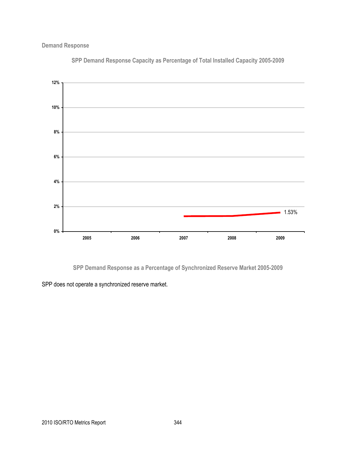**Demand Response**



**SPP Demand Response Capacity as Percentage of Total Installed Capacity 2005-2009**

**SPP Demand Response as a Percentage of Synchronized Reserve Market 2005-2009**

SPP does not operate a synchronized reserve market.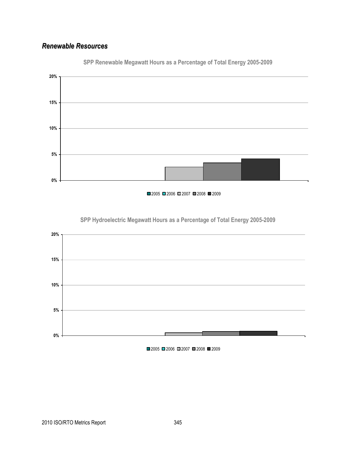## *Renewable Resources*



**SPP Renewable Megawatt Hours as a Percentage of Total Energy 2005-2009**

■2005 ■2006 ■2007 ■2008 ■2009



**SPP Hydroelectric Megawatt Hours as a Percentage of Total Energy 2005-2009**

■2005 ■2006 ■2007 ■2008 ■2009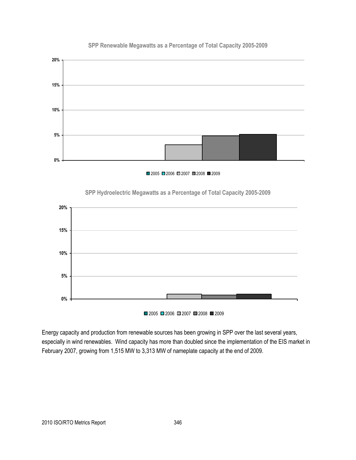

#### **SPP Renewable Megawatts as a Percentage of Total Capacity 2005-2009**



# **5% 10% 15% 20%**

**SPP Hydroelectric Megawatts as a Percentage of Total Capacity 2005-2009**

■2005 ■2006 ■2007 ■2008 ■2009

Energy capacity and production from renewable sources has been growing in SPP over the last several years, especially in wind renewables. Wind capacity has more than doubled since the implementation of the EIS market in February 2007, growing from 1,515 MW to 3,313 MW of nameplate capacity at the end of 2009.

**0%**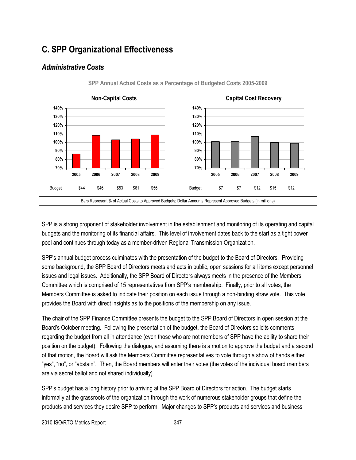## **C. SPP Organizational Effectiveness**

## *Administrative Costs*



**SPP Annual Actual Costs as a Percentage of Budgeted Costs 2005-2009**

SPP is a strong proponent of stakeholder involvement in the establishment and monitoring of its operating and capital budgets and the monitoring of its financial affairs. This level of involvement dates back to the start as a tight power pool and continues through today as a member-driven Regional Transmission Organization.

SPP's annual budget process culminates with the presentation of the budget to the Board of Directors. Providing some background, the SPP Board of Directors meets and acts in public, open sessions for all items except personnel issues and legal issues. Additionally, the SPP Board of Directors always meets in the presence of the Members Committee which is comprised of 15 representatives from SPP's membership. Finally, prior to all votes, the Members Committee is asked to indicate their position on each issue through a non-binding straw vote. This vote provides the Board with direct insights as to the positions of the membership on any issue.

The chair of the SPP Finance Committee presents the budget to the SPP Board of Directors in open session at the Board's October meeting. Following the presentation of the budget, the Board of Directors solicits comments regarding the budget from all in attendance (even those who are not members of SPP have the ability to share their position on the budget). Following the dialogue, and assuming there is a motion to approve the budget and a second of that motion, the Board will ask the Members Committee representatives to vote through a show of hands either "yes", "no", or "abstain". Then, the Board members will enter their votes (the votes of the individual board members are via secret ballot and not shared individually).

SPP's budget has a long history prior to arriving at the SPP Board of Directors for action. The budget starts informally at the grassroots of the organization through the work of numerous stakeholder groups that define the products and services they desire SPP to perform. Major changes to SPP's products and services and business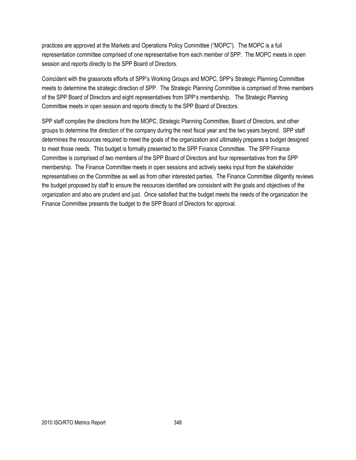practices are approved at the Markets and Operations Policy Committee ("MOPC"). The MOPC is a full representation committee comprised of one representative from each member of SPP. The MOPC meets in open session and reports directly to the SPP Board of Directors.

Coincident with the grassroots efforts of SPP's Working Groups and MOPC, SPP's Strategic Planning Committee meets to determine the strategic direction of SPP. The Strategic Planning Committee is comprised of three members of the SPP Board of Directors and eight representatives from SPP's membership. The Strategic Planning Committee meets in open session and reports directly to the SPP Board of Directors.

SPP staff compiles the directions from the MOPC, Strategic Planning Committee, Board of Directors, and other groups to determine the direction of the company during the next fiscal year and the two years beyond. SPP staff determines the resources required to meet the goals of the organization and ultimately prepares a budget designed to meet those needs. This budget is formally presented to the SPP Finance Committee. The SPP Finance Committee is comprised of two members of the SPP Board of Directors and four representatives from the SPP membership. The Finance Committee meets in open sessions and actively seeks input from the stakeholder representatives on the Committee as well as from other interested parties. The Finance Committee diligently reviews the budget proposed by staff to ensure the resources identified are consistent with the goals and objectives of the organization and also are prudent and just. Once satisfied that the budget meets the needs of the organization the Finance Committee presents the budget to the SPP Board of Directors for approval.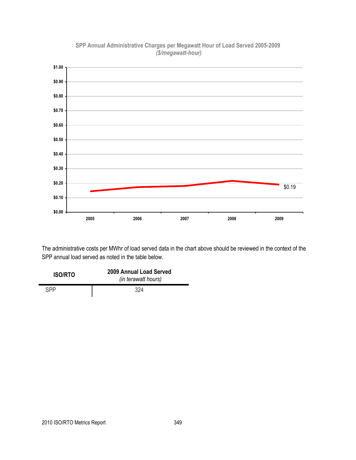

#### **SPP Annual Administrative Charges per Megawatt Hour of Load Served 2005-2009** *(\$/megawatt-hour)*

The administrative costs per MWhr of load served data in the chart above should be reviewed in the context of the SPP annual load served as noted in the table below.

| <b>ISO/RTO</b> | 2009 Annual Load Served<br>(in terawatt hours) |
|----------------|------------------------------------------------|
| SPP            | 324                                            |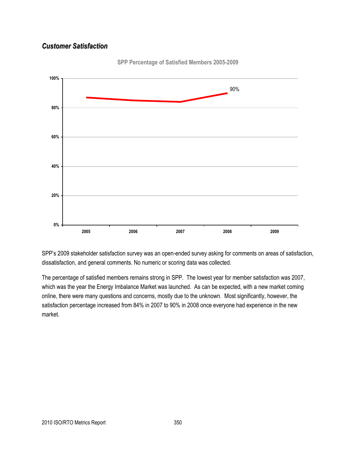## *Customer Satisfaction*



**SPP Percentage of Satisfied Members 2005-2009**

SPP's 2009 stakeholder satisfaction survey was an open-ended survey asking for comments on areas of satisfaction, dissatisfaction, and general comments. No numeric or scoring data was collected.

The percentage of satisfied members remains strong in SPP. The lowest year for member satisfaction was 2007, which was the year the Energy Imbalance Market was launched. As can be expected, with a new market coming online, there were many questions and concerns, mostly due to the unknown. Most significantly, however, the satisfaction percentage increased from 84% in 2007 to 90% in 2008 once everyone had experience in the new market.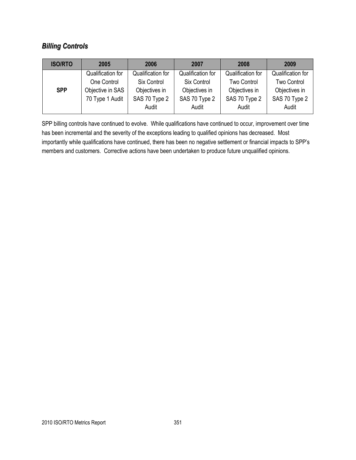## *Billing Controls*

| <b>ISO/RTO</b> | 2005              | 2006              | 2007              | 2008               | 2009              |
|----------------|-------------------|-------------------|-------------------|--------------------|-------------------|
|                | Qualification for | Qualification for | Qualification for | Qualification for  | Qualification for |
|                | One Control       | Six Control       | Six Control       | <b>Two Control</b> | Two Control       |
| <b>SPP</b>     | Objective in SAS  | Objectives in     | Objectives in     | Objectives in      | Objectives in     |
|                | 70 Type 1 Audit   | SAS 70 Type 2     | SAS 70 Type 2     | SAS 70 Type 2      | SAS 70 Type 2     |
|                |                   | Audit             | Audit             | Audit              | Audit             |

SPP billing controls have continued to evolve. While qualifications have continued to occur, improvement over time has been incremental and the severity of the exceptions leading to qualified opinions has decreased. Most importantly while qualifications have continued, there has been no negative settlement or financial impacts to SPP's members and customers. Corrective actions have been undertaken to produce future unqualified opinions.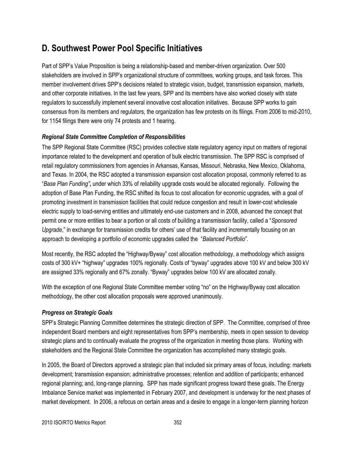## **D. Southwest Power Pool Specific Initiatives**

Part of SPP's Value Proposition is being a relationship-based and member-driven organization. Over 500 stakeholders are involved in SPP's organizational structure of committees, working groups, and task forces. This member involvement drives SPP's decisions related to strategic vision, budget, transmission expansion, markets, and other corporate initiatives. In the last few years, SPP and its members have also worked closely with state regulators to successfully implement several innovative cost allocation initiatives. Because SPP works to gain consensus from its members and regulators, the organization has few protests on its filings. From 2006 to mid-2010, for 1154 filings there were only 74 protests and 1 hearing.

#### *Regional State Committee Completion of Responsibilities*

The SPP Regional State Committee (RSC) provides collective state regulatory agency input on matters of regional importance related to the development and operation of bulk electric transmission. The SPP RSC is comprised of retail regulatory commissioners from agencies in Arkansas, Kansas, Missouri, Nebraska, New Mexico, Oklahoma, and Texas. In 2004, the RSC adopted a transmission expansion cost allocation proposal, commonly referred to as ―*Base Plan Funding"***,** under which 33% of reliability upgrade costs would be allocated regionally. Following the adoption of Base Plan Funding, the RSC shifted its focus to cost allocation for economic upgrades, with a goal of promoting investment in transmission facilities that could reduce congestion and result in lower-cost wholesale electric supply to load-serving entities and ultimately end-use customers and in 2008, advanced the concept that permit one or more entities to bear a portion or all costs of building a transmission facility, called a "Sponsored *Upgrade*," in exchange for transmission credits for others' use of that facility and incrementally focusing on an approach to developing a portfolio of economic upgrades called the "Balanced Portfolio".

Most recently, the RSC adopted the "Highway/Byway" cost allocation methodology, a methodology which assigns costs of 300 kV+ "highway" upgrades 100% regionally. Costs of "byway" upgrades above 100 kV and below 300 kV are assigned 33% regionally and 67% zonally. "Byway" upgrades below 100 kV are allocated zonally.

With the exception of one Regional State Committee member voting "no" on the Highway/Byway cost allocation methodology, the other cost allocation proposals were approved unanimously.

#### *Progress on Strategic Goals*

SPP's Strategic Planning Committee determines the strategic direction of SPP. The Committee, comprised of three independent Board members and eight representatives from SPP's membership, meets in open session to develop strategic plans and to continually evaluate the progress of the organization in meeting those plans. Working with stakeholders and the Regional State Committee the organization has accomplished many strategic goals.

In 2005, the Board of Directors approved a strategic plan that included six primary areas of focus, including: markets development; transmission expansion; administrative processes; retention and addition of participants; enhanced regional planning; and, long-range planning. SPP has made significant progress toward these goals. The Energy Imbalance Service market was implemented in February 2007, and development is underway for the next phases of market development. In 2006, a refocus on certain areas and a desire to engage in a longer-term planning horizon